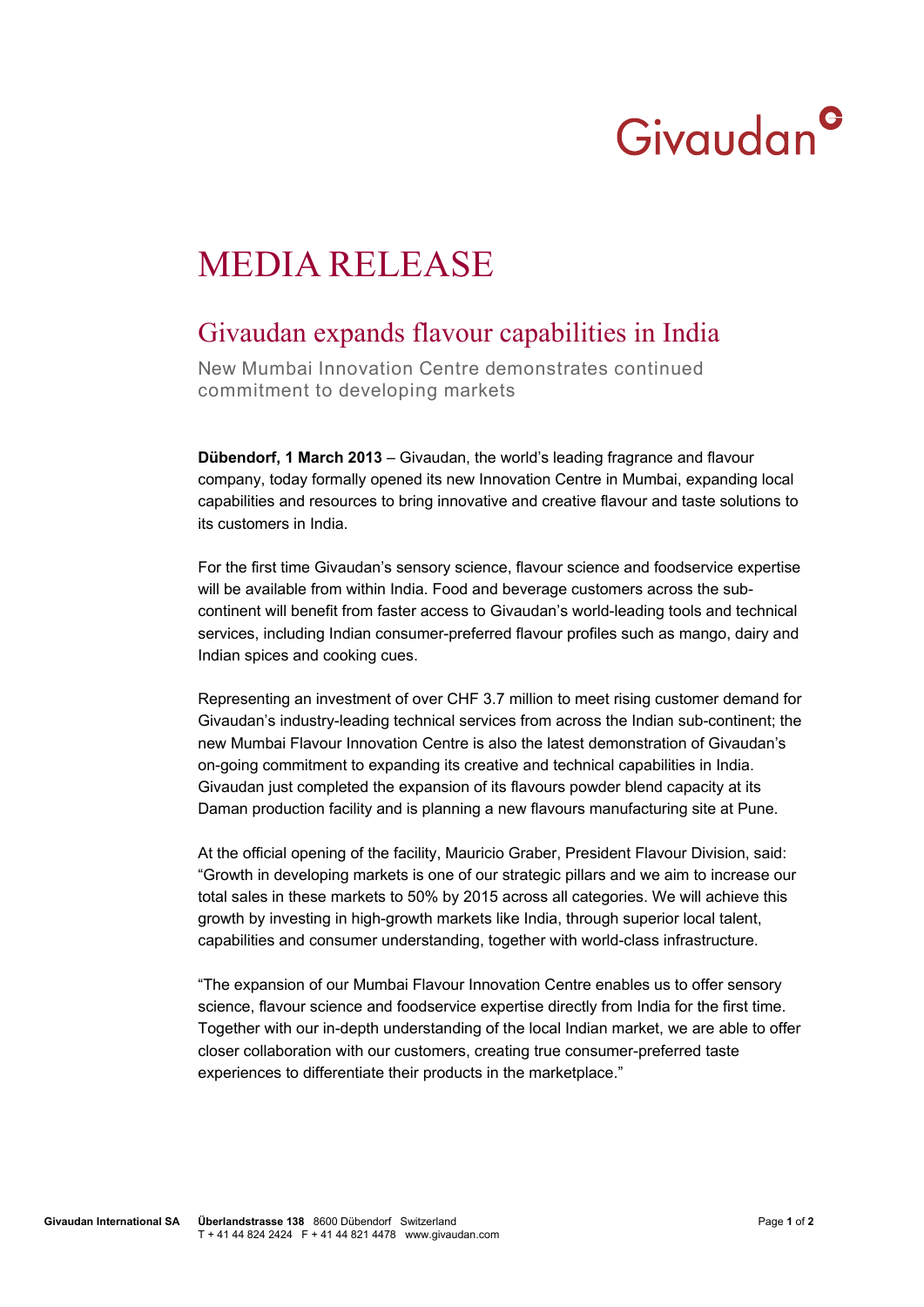## Givaudan<sup>c</sup>

## MEDIA RELEASE

## Givaudan expands flavour capabilities in India

New Mumbai Innovation Centre demonstrates continued commitment to developing markets

**Dübendorf, 1 March 2013** – Givaudan, the world's leading fragrance and flavour company, today formally opened its new Innovation Centre in Mumbai, expanding local capabilities and resources to bring innovative and creative flavour and taste solutions to its customers in India.

For the first time Givaudan's sensory science, flavour science and foodservice expertise will be available from within India. Food and beverage customers across the subcontinent will benefit from faster access to Givaudan's world-leading tools and technical services, including Indian consumer-preferred flavour profiles such as mango, dairy and Indian spices and cooking cues.

Representing an investment of over CHF 3.7 million to meet rising customer demand for Givaudan's industry-leading technical services from across the Indian sub-continent; the new Mumbai Flavour Innovation Centre is also the latest demonstration of Givaudan's on-going commitment to expanding its creative and technical capabilities in India. Givaudan just completed the expansion of its flavours powder blend capacity at its Daman production facility and is planning a new flavours manufacturing site at Pune.

At the official opening of the facility, Mauricio Graber, President Flavour Division, said: "Growth in developing markets is one of our strategic pillars and we aim to increase our total sales in these markets to 50% by 2015 across all categories. We will achieve this growth by investing in high-growth markets like India, through superior local talent, capabilities and consumer understanding, together with world-class infrastructure.

"The expansion of our Mumbai Flavour Innovation Centre enables us to offer sensory science, flavour science and foodservice expertise directly from India for the first time. Together with our in-depth understanding of the local Indian market, we are able to offer closer collaboration with our customers, creating true consumer-preferred taste experiences to differentiate their products in the marketplace."